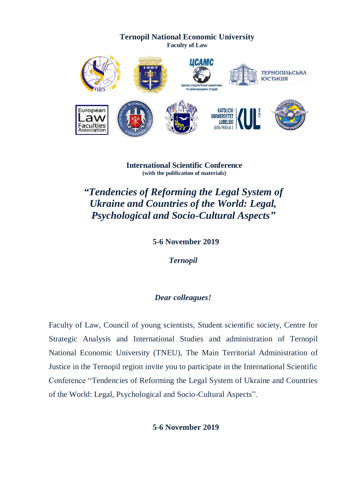

**International Scientific Conference (with the publication of materials)**

*"Tendencies of Reforming the Legal System of Ukraine and Countries of the World: Legal, Psychological and Socio-Cultural Aspects"*

**5-6 November 2019**

*Ternopil*

# *Dear colleagues!*

Faculty of Law, Council of young scientists, Student scientific society, Centre for Strategic Analysis and International Studies and administration of Ternopil National Economic University (TNEU), The Main Territorial Administration of Justice in the Ternopil region invite you to participate in the International Scientific Conference "Tendencies of Reforming the Legal System of Ukraine and Countries of the World: Legal, Psychological and Socio-Cultural Aspects".

**5-6 November 2019**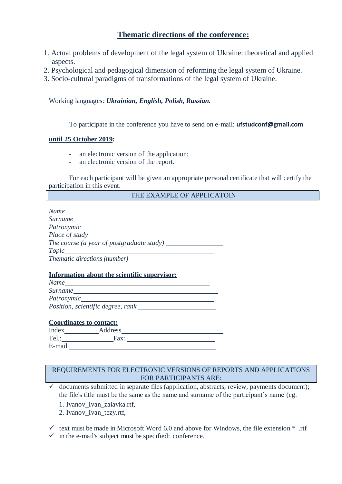## **Thematic directions of the conference:**

- 1. Actual problems of development of the legal system of Ukraine: theoretical and applied aspects.
- 2. Psychological and pedagogical dimension of reforming the legal system of Ukraine.
- 3. Socio-cultural paradigms of transformations of the legal system of Ukraine.

Working languages: *Ukrainian, English, Polish, Russian.*

To participate in the conference you have to send on e-mail: **[ufstudconf@gmail.com](mailto:ufstudconf@gmail.com)**

### **until 25 October 2019:**

- an electronic version of the application;
- an electronic version of the report.

For each participant will be given an appropriate personal certificate that will certify the participation in this event.

#### THE EXAMPLE OF APPLICATOIN

| Name                                      |  |
|-------------------------------------------|--|
| Surname                                   |  |
| Patronymic____                            |  |
| <i>Place of study</i>                     |  |
| The course (a year of postgraduate study) |  |
| Topic                                     |  |
| <i>Thematic directions (number)</i>       |  |

### **Information about the scientific supervisor:**

| Name                              |  |
|-----------------------------------|--|
| Surname                           |  |
| Patronymic                        |  |
| Position, scientific degree, rank |  |

#### **Coordinates to contact:**

| Index  | Address |  |
|--------|---------|--|
| Tel    | Fax:    |  |
| E-mail |         |  |

### REQUIREMENTS FOR ELECTRONIC VERSIONS OF REPORTS AND APPLICATIONS FOR PARTICIPANTS ARE:

 $\checkmark$  documents submitted in separate files (application, abstracts, review, payments document); the file's title must be the same as the name and surname of the participant's name (eg.

1. Ivanov\_Ivan\_zaiavka.rtf,

2. Ivanov\_Ivan\_tezy.rtf,

 $\checkmark$  text must be made in Microsoft Word 6.0 and above for Windows, the file extension  $*$  .rtf

 $\checkmark$  in the e-mail's subject must be specified: conference.